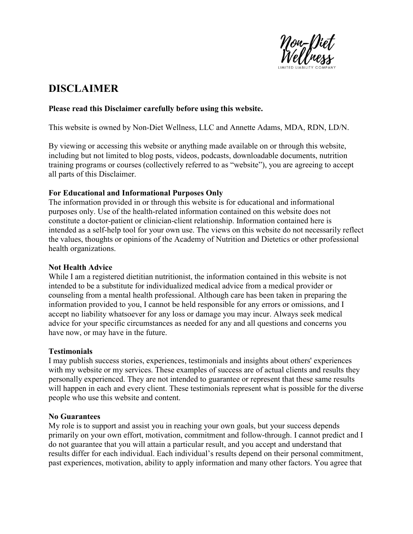

# DISCLAIMER

# Please read this Disclaimer carefully before using this website.

This website is owned by Non-Diet Wellness, LLC and Annette Adams, MDA, RDN, LD/N.

By viewing or accessing this website or anything made available on or through this website, including but not limited to blog posts, videos, podcasts, downloadable documents, nutrition training programs or courses (collectively referred to as "website"), you are agreeing to accept all parts of this Disclaimer.

# For Educational and Informational Purposes Only

The information provided in or through this website is for educational and informational purposes only. Use of the health-related information contained on this website does not constitute a doctor-patient or clinician-client relationship. Information contained here is intended as a self-help tool for your own use. The views on this website do not necessarily reflect the values, thoughts or opinions of the Academy of Nutrition and Dietetics or other professional health organizations.

### Not Health Advice

While I am a registered dietitian nutritionist, the information contained in this website is not intended to be a substitute for individualized medical advice from a medical provider or counseling from a mental health professional. Although care has been taken in preparing the information provided to you, I cannot be held responsible for any errors or omissions, and I accept no liability whatsoever for any loss or damage you may incur. Always seek medical advice for your specific circumstances as needed for any and all questions and concerns you have now, or may have in the future.

### Testimonials

I may publish success stories, experiences, testimonials and insights about others' experiences with my website or my services. These examples of success are of actual clients and results they personally experienced. They are not intended to guarantee or represent that these same results will happen in each and every client. These testimonials represent what is possible for the diverse people who use this website and content.

### No Guarantees

My role is to support and assist you in reaching your own goals, but your success depends primarily on your own effort, motivation, commitment and follow-through. I cannot predict and I do not guarantee that you will attain a particular result, and you accept and understand that results differ for each individual. Each individual's results depend on their personal commitment, past experiences, motivation, ability to apply information and many other factors. You agree that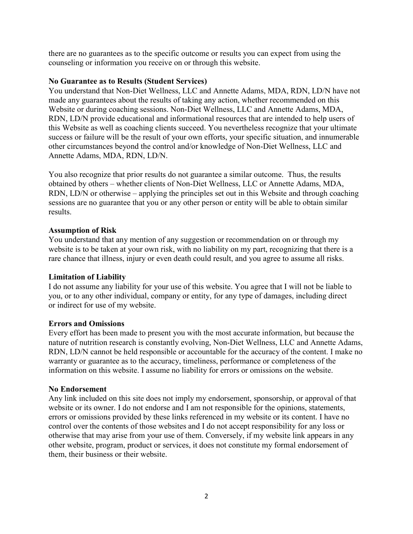there are no guarantees as to the specific outcome or results you can expect from using the counseling or information you receive on or through this website.

### No Guarantee as to Results (Student Services)

You understand that Non-Diet Wellness, LLC and Annette Adams, MDA, RDN, LD/N have not made any guarantees about the results of taking any action, whether recommended on this Website or during coaching sessions. Non-Diet Wellness, LLC and Annette Adams, MDA, RDN, LD/N provide educational and informational resources that are intended to help users of this Website as well as coaching clients succeed. You nevertheless recognize that your ultimate success or failure will be the result of your own efforts, your specific situation, and innumerable other circumstances beyond the control and/or knowledge of Non-Diet Wellness, LLC and Annette Adams, MDA, RDN, LD/N.

You also recognize that prior results do not guarantee a similar outcome. Thus, the results obtained by others – whether clients of Non-Diet Wellness, LLC or Annette Adams, MDA, RDN, LD/N or otherwise – applying the principles set out in this Website and through coaching sessions are no guarantee that you or any other person or entity will be able to obtain similar results.

# Assumption of Risk

You understand that any mention of any suggestion or recommendation on or through my website is to be taken at your own risk, with no liability on my part, recognizing that there is a rare chance that illness, injury or even death could result, and you agree to assume all risks.

### Limitation of Liability

I do not assume any liability for your use of this website. You agree that I will not be liable to you, or to any other individual, company or entity, for any type of damages, including direct or indirect for use of my website.

### Errors and Omissions

Every effort has been made to present you with the most accurate information, but because the nature of nutrition research is constantly evolving, Non-Diet Wellness, LLC and Annette Adams, RDN, LD/N cannot be held responsible or accountable for the accuracy of the content. I make no warranty or guarantee as to the accuracy, timeliness, performance or completeness of the information on this website. I assume no liability for errors or omissions on the website.

### No Endorsement

Any link included on this site does not imply my endorsement, sponsorship, or approval of that website or its owner. I do not endorse and I am not responsible for the opinions, statements, errors or omissions provided by these links referenced in my website or its content. I have no control over the contents of those websites and I do not accept responsibility for any loss or otherwise that may arise from your use of them. Conversely, if my website link appears in any other website, program, product or services, it does not constitute my formal endorsement of them, their business or their website.